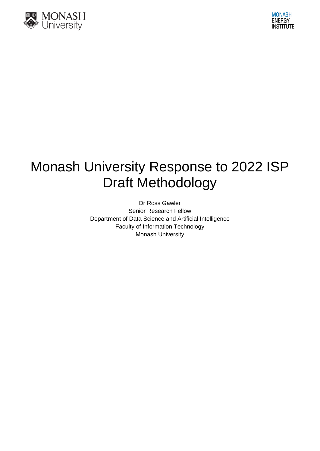

# Monash University Response to 2022 ISP Draft Methodology

Dr Ross Gawler Senior Research Fellow Department of Data Science and Artificial Intelligence Faculty of Information Technology Monash University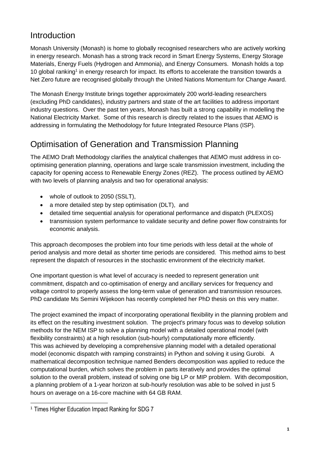#### Introduction

Monash University (Monash) is home to globally recognised researchers who are actively working in energy research. Monash has a strong track record in Smart Energy Systems, Energy Storage Materials, Energy Fuels (Hydrogen and Ammonia), and Energy Consumers. Monash holds a top 10 global ranking<sup>1</sup> in energy research for impact. Its efforts to accelerate the transition towards a Net Zero future are recognised globally through the United Nations Momentum for Change Award.

The Monash Energy Institute brings together approximately 200 world-leading researchers (excluding PhD candidates), industry partners and state of the art facilities to address important industry questions. Over the past ten years, Monash has built a strong capability in modelling the National Electricity Market. Some of this research is directly related to the issues that AEMO is addressing in formulating the Methodology for future Integrated Resource Plans (ISP).

### Optimisation of Generation and Transmission Planning

The AEMO Draft Methodology clarifies the analytical challenges that AEMO must address in cooptimising generation planning, operations and large scale transmission investment, including the capacity for opening access to Renewable Energy Zones (REZ). The process outlined by AEMO with two levels of planning analysis and two for operational analysis:

- whole of outlook to 2050 (SSLT),
- a more detailed step by step optimisation (DLT), and
- detailed time sequential analysis for operational performance and dispatch (PLEXOS)
- transmission system performance to validate security and define power flow constraints for economic analysis.

This approach decomposes the problem into four time periods with less detail at the whole of period analysis and more detail as shorter time periods are considered. This method aims to best represent the dispatch of resources in the stochastic environment of the electricity market.

One important question is what level of accuracy is needed to represent generation unit commitment, dispatch and co-optimisation of energy and ancillary services for frequency and voltage control to properly assess the long-term value of generation and transmission resources. PhD candidate Ms Semini Wijekoon has recently completed her PhD thesis on this very matter.

The project examined the impact of incorporating operational flexibility in the planning problem and its effect on the resulting investment solution. The project's primary focus was to develop solution methods for the NEM ISP to solve a planning model with a detailed operational model (with flexibility constraints) at a high resolution (sub-hourly) computationally more efficiently. This was achieved by developing a comprehensive planning model with a detailed operational model (economic dispatch with ramping constraints) in Python and solving it using Gurobi. A mathematical decomposition technique named Benders decomposition was applied to reduce the computational burden, which solves the problem in parts iteratively and provides the optimal solution to the overall problem, instead of solving one big LP or MIP problem. With decomposition, a planning problem of a 1-year horizon at sub-hourly resolution was able to be solved in just 5 hours on average on a 16-core machine with 64 GB RAM.

-

<sup>1</sup> Times Higher Education Impact Ranking for SDG 7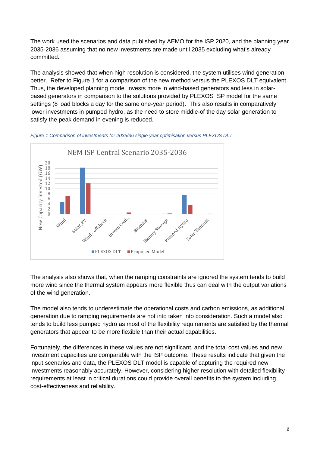The work used the scenarios and data published by AEMO for the ISP 2020, and the planning year 2035-2036 assuming that no new investments are made until 2035 excluding what's already committed.

The analysis showed that when high resolution is considered, the system utilises wind generation better. Refer to [Figure 1](#page-2-0) for a comparison of the new method versus the PLEXOS DLT equivalent. Thus, the developed planning model invests more in wind-based generators and less in solarbased generators in comparison to the solutions provided by PLEXOS ISP model for the same settings (8 load blocks a day for the same one-year period). This also results in comparatively lower investments in pumped hydro, as the need to store middle-of the day solar generation to satisfy the peak demand in evening is reduced.



<span id="page-2-0"></span>*Figure 1 Comparison of investments for 2035/36 single year optimisation versus PLEXOS DLT*

The analysis also shows that, when the ramping constraints are ignored the system tends to build more wind since the thermal system appears more flexible thus can deal with the output variations of the wind generation.

The model also tends to underestimate the operational costs and carbon emissions, as additional generation due to ramping requirements are not into taken into consideration. Such a model also tends to build less pumped hydro as most of the flexibility requirements are satisfied by the thermal generators that appear to be more flexible than their actual capabilities.

Fortunately, the differences in these values are not significant, and the total cost values and new investment capacities are comparable with the ISP outcome. These results indicate that given the input scenarios and data, the PLEXOS DLT model is capable of capturing the required new investments reasonably accurately. However, considering higher resolution with detailed flexibility requirements at least in critical durations could provide overall benefits to the system including cost-effectiveness and reliability.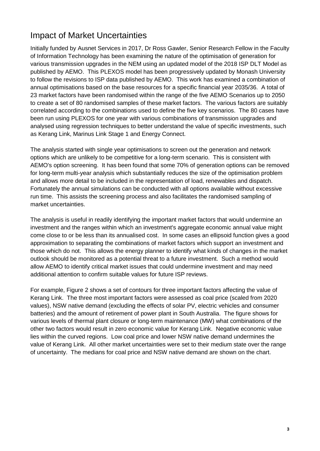## Impact of Market Uncertainties

Initially funded by Ausnet Services in 2017, Dr Ross Gawler, Senior Research Fellow in the Faculty of Information Technology has been examining the nature of the optimisation of generation for various transmission upgrades in the NEM using an updated model of the 2018 ISP DLT Model as published by AEMO. This PLEXOS model has been progressively updated by Monash University to follow the revisions to ISP data published by AEMO. This work has examined a combination of annual optimisations based on the base resources for a specific financial year 2035/36. A total of 23 market factors have been randomised within the range of the five AEMO Scenarios up to 2050 to create a set of 80 randomised samples of these market factors. The various factors are suitably correlated according to the combinations used to define the five key scenarios. The 80 cases have been run using PLEXOS for one year with various combinations of transmission upgrades and analysed using regression techniques to better understand the value of specific investments, such as Kerang Link, Marinus Link Stage 1 and Energy Connect.

The analysis started with single year optimisations to screen out the generation and network options which are unlikely to be competitive for a long-term scenario. This is consistent with AEMO's option screening. It has been found that some 70% of generation options can be removed for long-term multi-year analysis which substantially reduces the size of the optimisation problem and allows more detail to be included in the representation of load, renewables and dispatch. Fortunately the annual simulations can be conducted with all options available without excessive run time. This assists the screening process and also facilitates the randomised sampling of market uncertainties.

The analysis is useful in readily identifying the important market factors that would undermine an investment and the ranges within which an investment's aggregate economic annual value might come close to or be less than its annualised cost. In some cases an ellipsoid function gives a good approximation to separating the combinations of market factors which support an investment and those which do not. This allows the energy planner to identify what kinds of changes in the market outlook should be monitored as a potential threat to a future investment. Such a method would allow AEMO to identify critical market issues that could undermine investment and may need additional attention to confirm suitable values for future ISP reviews.

For example, [Figure 2](#page-4-0) shows a set of contours for three important factors affecting the value of Kerang Link. The three most important factors were assessed as coal price (scaled from 2020 values), NSW native demand (excluding the effects of solar PV, electric vehicles and consumer batteries) and the amount of retirement of power plant in South Australia. The figure shows for various levels of thermal plant closure or long-term maintenance (MW) what combinations of the other two factors would result in zero economic value for Kerang Link. Negative economic value lies within the curved regions. Low coal price and lower NSW native demand undermines the value of Kerang Link. All other market uncertainties were set to their medium state over the range of uncertainty. The medians for coal price and NSW native demand are shown on the chart.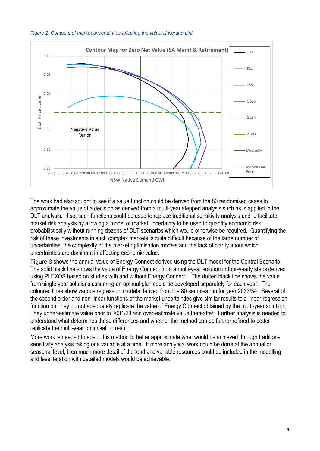

0.80

NSW Native Demand GWh

#### <span id="page-4-0"></span>*Figure 2 Contours of market uncertainties affecting the value of Kerang Link*

The work had also sought to see if a value function could be derived from the 80 randomised cases to approximate the value of a decision as derived from a multi-year stepped analysis such as is applied in the DLT analysis. If so, such functions could be used to replace traditional sensitivity analysis and to facilitate market risk analysis by allowing a model of market uncertainty to be used to quantify economic risk probabilistically without running dozens of DLT scenarios which would otherwise be required. Quantifying the risk of these investments in such complex markets is quite difficult because of the large number of uncertainties, the complexity of the market optimisation models and the lack of clarity about which uncertainties are dominant in affecting economic value.

[Figure 3](#page-5-0) shows the annual value of Energy Connect derived using the DLT model for the Central Scenario. The solid black line shows the value of Energy Connect from a multi-year solution in four-yearly steps derived using PLEXOS based on studies with and without Energy Connect. The dotted black line shows the value from single year solutions assuming an optimal plan could be developed separately for each year. The coloured lines show various regression models derived from the 80 samples run for year 2033/34. Several of the second order and non-linear functions of the market uncertainties give similar results to a linear regression function but they do not adequately replicate the value of Energy Connect obtained by the multi-year solution. They under-estimate value prior to 2031/23 and over-estimate value thereafter. Further analysis is needed to understand what determines these differences and whether the method can be further refined to better replicate the multi-year optimisation result.

More work is needed to adapt this method to better approximate what would be achieved through traditional sensitivity analysis taking one variable at a time. If more analytical work could be done at the annual or seasonal level, then much more detail of the load and variable resources could be included in the modelling and less iteration with detailed models would be achievable.

Median Coal Price